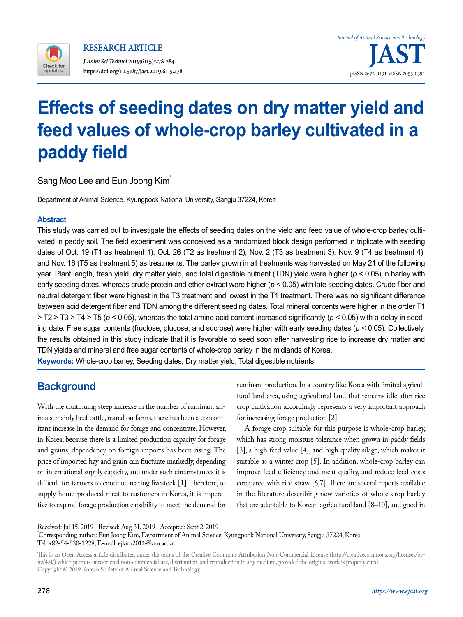

# **Effects of seeding dates on dry matter yield and feed values of whole-crop barley cultivated in a paddy field**

Sang Moo Lee and Eun Joong Kim

Department of Animal Science, Kyungpook National University, Sangju 37224, Korea

### **Abstract**

This study was carried out to investigate the effects of seeding dates on the yield and feed value of whole-crop barley cultivated in paddy soil. The field experiment was conceived as a randomized block design performed in triplicate with seeding dates of Oct. 19 (T1 as treatment 1), Oct. 26 (T2 as treatment 2), Nov. 2 (T3 as treatment 3), Nov. 9 (T4 as treatment 4), and Nov. 16 (T5 as treatment 5) as treatments. The barley grown in all treatments was harvested on May 21 of the following year. Plant length, fresh yield, dry matter yield, and total digestible nutrient (TDN) yield were higher (*p* < 0.05) in barley with early seeding dates, whereas crude protein and ether extract were higher (*p* < 0.05) with late seeding dates. Crude fiber and neutral detergent fiber were highest in the T3 treatment and lowest in the T1 treatment. There was no significant difference between acid detergent fiber and TDN among the different seeding dates. Total mineral contents were higher in the order T1 > T2 > T3 > T4 > T5 (*p* < 0.05), whereas the total amino acid content increased significantly (*p* < 0.05) with a delay in seeding date. Free sugar contents (fructose, glucose, and sucrose) were higher with early seeding dates (*p* < 0.05). Collectively, the results obtained in this study indicate that it is favorable to seed soon after harvesting rice to increase dry matter and TDN yields and mineral and free sugar contents of whole-crop barley in the midlands of Korea. **Keywords:** Whole-crop barley, Seeding dates, Dry matter yield, Total digestible nutrients

# **Background**

With the continuing steep increase in the number of ruminant animals, mainly beef cattle, reared on farms, there has been a concomitant increase in the demand for forage and concentrate. However, in Korea, because there is a limited production capacity for forage and grains, dependency on foreign imports has been rising. The price of imported hay and grain can fluctuate markedly, depending on international supply capacity, and under such circumstances it is difficult for farmers to continue rearing livestock [1]. Therefore, to supply home-produced meat to customers in Korea, it is imperative to expand forage production capability to meet the demand for ruminant production. In a country like Korea with limited agricultural land area, using agricultural land that remains idle after rice crop cultivation accordingly represents a very important approach for increasing forage production [2].

A forage crop suitable for this purpose is whole-crop barley, which has strong moisture tolerance when grown in paddy fields [3], a high feed value [4], and high quality silage, which makes it suitable as a winter crop [5]. In addition, whole-crop barley can improve feed efficiency and meat quality, and reduce feed costs compared with rice straw  $[6,7]$ . There are several reports available in the literature describing new varieties of whole-crop barley that are adaptable to Korean agricultural land [8–10], and good in

Received: Jul 15, 2019 Revised: Aug 31, 2019 Accepted: Sept 2, 2019 \* Corresponding author: Eun Joong Kim, Department of Animal Science, Kyungpook National University, Sangju 37224, Korea. Tel: +82-54-530-1228, E-mail: ejkim2011@knu.ac.kr

This is an Open Access article distributed under the terms of the Creative Commons Attribution Non-Commercial License ([http://creativecommons.org/licenses/by](http://creativecommons.org/licenses/by-nc/4.0/)[nc/4.0/\)](http://creativecommons.org/licenses/by-nc/4.0/) which permits unrestricted non-commercial use, distribution, and reproduction in any medium, provided the original work is properly cited. Copyright © 2019 Korean Society of Animal Science and Technology.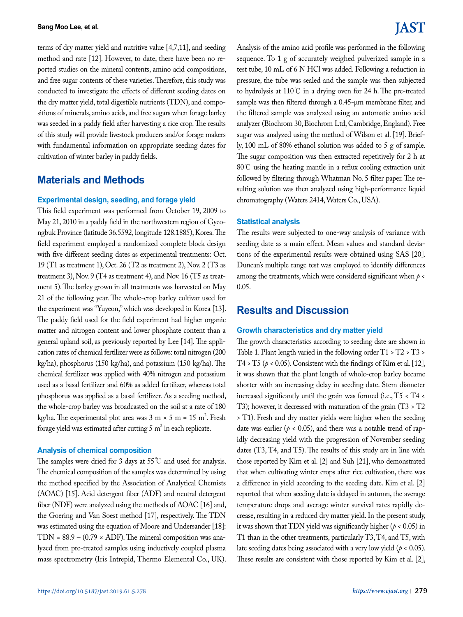terms of dry matter yield and nutritive value [4,7,11], and seeding method and rate [12]. However, to date, there have been no reported studies on the mineral contents, amino acid compositions, and free sugar contents of these varieties. Therefore, this study was conducted to investigate the effects of different seeding dates on the dry matter yield, total digestible nutrients (TDN), and compositions of minerals, amino acids, and free sugars when forage barley was seeded in a paddy field after harvesting a rice crop. The results of this study will provide livestock producers and/or forage makers with fundamental information on appropriate seeding dates for cultivation of winter barley in paddy fields.

# **Materials and Methods**

#### **Experimental design, seeding, and forage yield**

This field experiment was performed from October 19, 2009 to May 21, 2010 in a paddy field in the northwestern region of Gyeongbuk Province (latitude 36.5592, longitude 128.1885), Korea. The field experiment employed a randomized complete block design with five different seeding dates as experimental treatments: Oct. 19 (T1 as treatment 1), Oct. 26 (T2 as treatment 2), Nov. 2 (T3 as treatment 3), Nov. 9 (T4 as treatment 4), and Nov. 16 (T5 as treatment 5). The barley grown in all treatments was harvested on May 21 of the following year. The whole-crop barley cultivar used for the experiment was "Yuyeon," which was developed in Korea [13]. The paddy field used for the field experiment had higher organic matter and nitrogen content and lower phosphate content than a general upland soil, as previously reported by Lee [14]. The application rates of chemical fertilizer were as follows: total nitrogen (200 kg/ha), phosphorus (150 kg/ha), and potassium (150 kg/ha). The chemical fertilizer was applied with 40% nitrogen and potassium used as a basal fertilizer and 60% as added fertilizer, whereas total phosphorus was applied as a basal fertilizer. As a seeding method, the whole-crop barley was broadcasted on the soil at a rate of 180 kg/ha. The experimental plot area was  $3 \text{ m} \times 5 \text{ m} = 15 \text{ m}^2$ . Fresh forage yield was estimated after cutting 5  $m^2$  in each replicate.

#### **Analysis of chemical composition**

The samples were dried for 3 days at 55℃ and used for analysis. The chemical composition of the samples was determined by using the method specified by the Association of Analytical Chemists (AOAC) [15]. Acid detergent fiber (ADF) and neutral detergent fiber (NDF) were analyzed using the methods of AOAC [16] and, the Goering and Van Soest method [17], respectively. The TDN was estimated using the equation of Moore and Undersander [18]: TDN =  $88.9 - (0.79 \times \text{ADF})$ . The mineral composition was analyzed from pre-treated samples using inductively coupled plasma mass spectrometry (Iris Intrepid, Thermo Elemental Co., UK). Analysis of the amino acid profile was performed in the following sequence. To 1 g of accurately weighed pulverized sample in a test tube, 10 mL of 6 N HCl was added. Following a reduction in pressure, the tube was sealed and the sample was then subjected to hydrolysis at 110℃ in a drying oven for 24 h. The pre-treated sample was then filtered through a 0.45-µm membrane filter, and the filtered sample was analyzed using an automatic amino acid analyzer (Biochrom 30, Biochrom Ltd, Cambridge, England). Free sugar was analyzed using the method of Wilson et al. [19]. Briefly, 100 mL of 80% ethanol solution was added to 5 g of sample. The sugar composition was then extracted repetitively for 2 h at 80℃ using the heating mantle in a reflux cooling extraction unit followed by filtering through Whatman No. 5 filter paper. The resulting solution was then analyzed using high-performance liquid chromatography (Waters 2414, Waters Co., USA).

#### **Statistical analysis**

The results were subjected to one-way analysis of variance with seeding date as a main effect. Mean values and standard deviations of the experimental results were obtained using SAS [20]. Duncan's multiple range test was employed to identify differences among the treatments, which were considered significant when *p* < 0.05.

## **Results and Discussion**

#### **Growth characteristics and dry matter yield**

The growth characteristics according to seeding date are shown in Table 1. Plant length varied in the following order T1 > T2 > T3 > T4 > T5 ( $p$  < 0.05). Consistent with the findings of Kim et al. [12], it was shown that the plant length of whole-crop barley became shorter with an increasing delay in seeding date. Stem diameter increased significantly until the grain was formed (i.e., T5 < T4 < T3); however, it decreased with maturation of the grain (T3 > T2 > T1). Fresh and dry matter yields were higher when the seeding date was earlier ( $p < 0.05$ ), and there was a notable trend of rapidly decreasing yield with the progression of November seeding dates (T3, T4, and T5). The results of this study are in line with those reported by Kim et al. [2] and Suh [21], who demonstrated that when cultivating winter crops after rice cultivation, there was a difference in yield according to the seeding date. Kim et al. [2] reported that when seeding date is delayed in autumn, the average temperature drops and average winter survival rates rapidly decrease, resulting in a reduced dry matter yield. In the present study, it was shown that TDN yield was significantly higher (*p* < 0.05) in T1 than in the other treatments, particularly T3, T4, and T5, with late seeding dates being associated with a very low yield ( $p < 0.05$ ). These results are consistent with those reported by Kim et al. [2],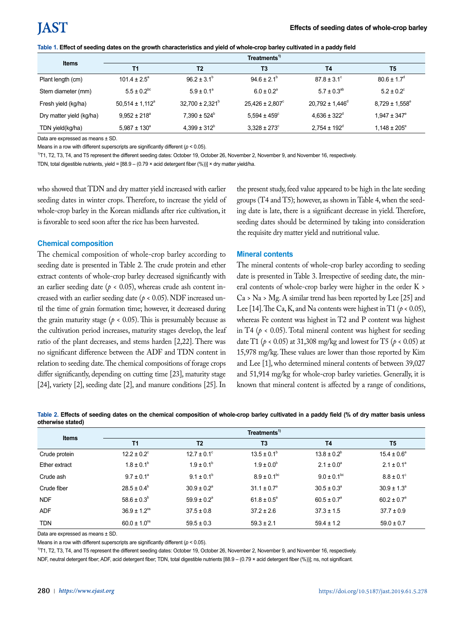| Table 1. Effect of seeding dates on the growth characteristics and yield of whole-crop barley cultivated in a paddy field |  |  |
|---------------------------------------------------------------------------------------------------------------------------|--|--|
|---------------------------------------------------------------------------------------------------------------------------|--|--|

|                          | Treatments <sup>1)</sup>   |                            |                            |                            |                             |
|--------------------------|----------------------------|----------------------------|----------------------------|----------------------------|-----------------------------|
| <b>Items</b>             | <b>T1</b>                  | T <sub>2</sub>             | T3                         | <b>T4</b>                  | T5                          |
| Plant length (cm)        | $101.4 \pm 2.5^{\circ}$    | $96.2 \pm 3.1^{\circ}$     | $94.6 \pm 2.1^{\circ}$     | $87.8 \pm 3.1^{\circ}$     | $80.6 \pm 1.7$ <sup>d</sup> |
| Stem diameter (mm)       | $5.5 \pm 0.2^{bc}$         | $5.9 \pm 0.1^a$            | $6.0 \pm 0.2$ <sup>a</sup> | $5.7 \pm 0.3^{ab}$         | $5.2 \pm 0.2$ <sup>c</sup>  |
| Fresh yield (kg/ha)      | $50,514 \pm 1,112^{\circ}$ | $32,700 \pm 2,321^{\circ}$ | $25,426 \pm 2,807$ °       | $20,792 \pm 1,446^{\circ}$ | $8,729 \pm 1,558^{\circ}$   |
| Dry matter yield (kg/ha) | $9.952 \pm 218^{\circ}$    | $7.390 \pm 524^{\circ}$    | $5.594 \pm 459^{\circ}$    | $4.636 \pm 322^{\circ}$    | $1.947 \pm 347^{\circ}$     |
| TDN yield(kg/ha)         | $5.987 \pm 130^{\circ}$    | $4.399 \pm 312^b$          | $3.328 \pm 273^{\circ}$    | $2.754 \pm 192^{\circ}$    | $1,148 \pm 205^{\circ}$     |

Data are expressed as means + SD.

Means in a row with different superscripts are significantly different (*p* < 0.05).

1)T1, T2, T3, T4, and T5 represent the different seeding dates: October 19, October 26, November 2, November 9, and November 16, respectively.

TDN, total digestible nutrients, yield =  $[88.9 - (0.79 \times \text{acid} \cdot \text{detergent} \cdot \text{fiber} \cdot (*))] \times \text{dry} \cdot \text{matter}$  yield/ha.

who showed that TDN and dry matter yield increased with earlier seeding dates in winter crops. Therefore, to increase the yield of whole-crop barley in the Korean midlands after rice cultivation, it is favorable to seed soon after the rice has been harvested.

#### **Chemical composition**

The chemical composition of whole-crop barley according to seeding date is presented in Table 2. The crude protein and ether extract contents of whole-crop barley decreased significantly with an earlier seeding date ( $p < 0.05$ ), whereas crude ash content increased with an earlier seeding date (*p* < 0.05). NDF increased until the time of grain formation time; however, it decreased during the grain maturity stage ( $p < 0.05$ ). This is presumably because as the cultivation period increases, maturity stages develop, the leaf ratio of the plant decreases, and stems harden [2,22]. There was no significant difference between the ADF and TDN content in relation to seeding date. The chemical compositions of forage crops differ significantly, depending on cutting time [23], maturity stage [24], variety [2], seeding date [2], and manure conditions [25]. In

the present study, feed value appeared to be high in the late seeding groups (T4 and T5); however, as shown in Table 4, when the seeding date is late, there is a significant decrease in yield. Therefore, seeding dates should be determined by taking into consideration the requisite dry matter yield and nutritional value.

#### **Mineral contents**

The mineral contents of whole-crop barley according to seeding date is presented in Table 3. Irrespective of seeding date, the mineral contents of whole-crop barley were higher in the order K > Ca > Na > Mg. A similar trend has been reported by Lee [25] and Lee [14]. The Ca, K, and Na contents were highest in T1 ( $p < 0.05$ ), whereas Fe content was highest in T2 and P content was highest in T4 ( $p < 0.05$ ). Total mineral content was highest for seeding date T1 (*p* < 0.05) at 31,308 mg/kg and lowest for T5 (*p* < 0.05) at 15,978 mg/kg. These values are lower than those reported by Kim and Lee [1], who determined mineral contents of between 39,027 and 51,914 mg/kg for whole-crop barley varieties. Generally, it is known that mineral content is affected by a range of conditions,

| <b>Items</b>  | Treatments <sup>1</sup>      |                        |                        |                        |                        |
|---------------|------------------------------|------------------------|------------------------|------------------------|------------------------|
|               | T <sub>1</sub>               | T <sub>2</sub>         | T <sub>3</sub>         | <b>T4</b>              | T5                     |
| Crude protein | $12.2 \pm 0.2$ °             | $12.7 \pm 0.1$ °       | $13.5 \pm 0.1^{\circ}$ | $13.8 \pm 0.2^b$       | $15.4 \pm 0.6^{\circ}$ |
| Ether extract | $1.8 \pm 0.1^{\circ}$        | $1.9 \pm 0.1^{\circ}$  | $1.9 \pm 0.0^{\circ}$  | $2.1 \pm 0.0^a$        | $2.1 \pm 0.1^a$        |
| Crude ash     | $9.7 \pm 0.1^a$              | $9.1 \pm 0.1^b$        | $8.9 \pm 0.1^{bc}$     | $9.0 \pm 0.1^{bc}$     | $8.8 \pm 0.1$ °        |
| Crude fiber   | $28.5 \pm 0.4^b$             | $30.9 \pm 0.2^{\circ}$ | $31.1 \pm 0.7^{\circ}$ | $30.5 \pm 0.3^{\circ}$ | $30.9 \pm 1.3^a$       |
| <b>NDF</b>    | $58.6 \pm 0.3^b$             | $59.9 \pm 0.2^{\circ}$ | $61.8 \pm 0.5^{\circ}$ | $60.5 \pm 0.7^{\circ}$ | $60.2 \pm 0.7^{\circ}$ |
| <b>ADF</b>    | $36.9 \pm 1.2$ <sup>ns</sup> | $37.5 \pm 0.8$         | $37.2 \pm 2.6$         | $37.3 \pm 1.5$         | $37.7 \pm 0.9$         |
| <b>TDN</b>    | $60.0 \pm 1.0$ <sup>ns</sup> | $59.5 \pm 0.3$         | $59.3 \pm 2.1$         | $59.4 \pm 1.2$         | $59.0 \pm 0.7$         |

**Table 2. Effects of seeding dates on the chemical composition of whole-crop barley cultivated in a paddy field (% of dry matter basis unless otherwise stated)**

Data are expressed as means ± SD.

Means in a row with different superscripts are significantly different (*p* < 0.05).

1)T1, T2, T3, T4, and T5 represent the different seeding dates: October 19, October 26, November 2, November 9, and November 16, respectively.

NDF, neutral detergent fiber; ADF, acid detergent fiber; TDN, total digestible nutrients [88.9 – (0.79 × acid detergent fiber (%))]; ns, not significant.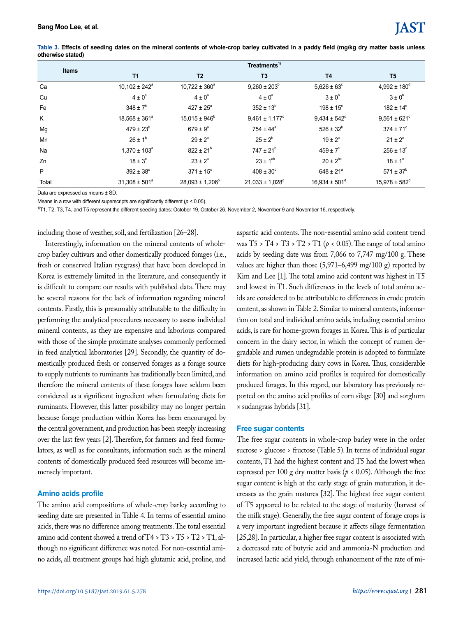| <b>Items</b> | Treatments <sup>1)</sup> |                            |                         |                               |                          |
|--------------|--------------------------|----------------------------|-------------------------|-------------------------------|--------------------------|
|              | <b>T1</b>                | T <sub>2</sub>             | T3                      | <b>T4</b>                     | T5                       |
| Ca           | $10,102 \pm 242^{\circ}$ | $10,722 \pm 360^{\circ}$   | $9,260 \pm 203^{\circ}$ | $5,626 \pm 63^{\circ}$        | $4.992 \pm 180^{\circ}$  |
| Cu           | $4 \pm 0^a$              | $4 \pm 0^a$                | $4 \pm 0^a$             | $3 \pm 0^b$                   | $3 \pm 0^b$              |
| Fe           | $348 \pm 7^{\circ}$      | $427 \pm 25^{\circ}$       | $352 \pm 13^{6}$        | $198 \pm 15^{\circ}$          | $182 \pm 14^{\circ}$     |
| K            | $18,568 \pm 361^{\circ}$ | $15,015 \pm 946^{\circ}$   | $9,461 \pm 1,177$ °     | $9,434 \pm 542^{\circ}$       | $9.561 \pm 621$ °        |
| Mg           | $479 \pm 23^{6}$         | $679 \pm 9^{\circ}$        | $754 \pm 44^{\circ}$    | $526 \pm 32^{b}$              | $374 \pm 71^{\circ}$     |
| Mn           | $26 \pm 1^{6}$           | $29 \pm 2^a$               | $25 \pm 2^{b}$          | $19 \pm 2$ <sup>c</sup>       | $21 \pm 2^{\circ}$       |
| Na           | $1,370 \pm 103^a$        | $822 \pm 21^{b}$           | $747 \pm 21^{b}$        | $459 \pm 7$ °                 | $256 \pm 13^{d}$         |
| Zn           | $18 \pm 3^\circ$         | $23 \pm 2^a$               | $23 \pm 1^{ab}$         | $20 \pm 2^{bc}$               | $18 \pm 1$ °             |
| P            | $392 \pm 38^{\circ}$     | $371 \pm 15^{\circ}$       | $408 \pm 30^{\circ}$    | $648 \pm 21^{\circ}$          | $571 \pm 37^{\circ}$     |
| Total        | $31.308 \pm 501^{\circ}$ | $28,093 \pm 1,206^{\circ}$ | $21,033 \pm 1,028$ °    | $16.934 \pm 501$ <sup>d</sup> | $15.978 \pm 582^{\circ}$ |

**Table 3. Effects of seeding dates on the mineral contents of whole-crop barley cultivated in a paddy field (mg/kg dry matter basis unless otherwise stated)**

Data are expressed as means ± SD.

Means in a row with different superscripts are significantly different (*p* < 0.05).

<sup>1)</sup>T1, T2, T3, T4, and T5 represent the different seeding dates: October 19, October 26, November 2, November 9 and November 16, respectively.

including those of weather, soil, and fertilization [26–28].

Interestingly, information on the mineral contents of wholecrop barley cultivars and other domestically produced forages (i.e., fresh or conserved Italian ryegrass) that have been developed in Korea is extremely limited in the literature, and consequently it is difficult to compare our results with published data. There may be several reasons for the lack of information regarding mineral contents. Firstly, this is presumably attributable to the difficulty in performing the analytical procedures necessary to assess individual mineral contents, as they are expensive and laborious compared with those of the simple proximate analyses commonly performed in feed analytical laboratories [29]. Secondly, the quantity of domestically produced fresh or conserved forages as a forage source to supply nutrients to ruminants has traditionally been limited, and therefore the mineral contents of these forages have seldom been considered as a significant ingredient when formulating diets for ruminants. However, this latter possibility may no longer pertain because forage production within Korea has been encouraged by the central government, and production has been steeply increasing over the last few years [2]. Therefore, for farmers and feed formulators, as well as for consultants, information such as the mineral contents of domestically produced feed resources will become immensely important.

#### **Amino acids profile**

The amino acid compositions of whole-crop barley according to seeding date are presented in Table 4. In terms of essential amino acids, there was no difference among treatments. The total essential amino acid content showed a trend of T4 > T3 > T5 > T2 > T1, although no significant difference was noted. For non-essential amino acids, all treatment groups had high glutamic acid, proline, and

aspartic acid contents. The non-essential amino acid content trend was  $T5 > T4 > T3 > T2 > T1$  ( $p < 0.05$ ). The range of total amino acids by seeding date was from 7,066 to 7,747 mg/100 g. These values are higher than those (5,971–6,499 mg/100 g) reported by Kim and Lee [1]. The total amino acid content was highest in T5 and lowest in T1. Such differences in the levels of total amino acids are considered to be attributable to differences in crude protein content, as shown in Table 2. Similar to mineral contents, information on total and individual amino acids, including essential amino acids, is rare for home-grown forages in Korea. This is of particular concern in the dairy sector, in which the concept of rumen degradable and rumen undegradable protein is adopted to formulate diets for high-producing dairy cows in Korea. Thus, considerable information on amino acid profiles is required for domestically produced forages. In this regard, our laboratory has previously reported on the amino acid profiles of corn silage [30] and sorghum × sudangrass hybrids [31].

#### **Free sugar contents**

The free sugar contents in whole-crop barley were in the order sucrose > glucose > fructose (Table 5). In terms of individual sugar contents, T1 had the highest content and T5 had the lowest when expressed per 100 g dry matter basis ( $p < 0.05$ ). Although the free sugar content is high at the early stage of grain maturation, it decreases as the grain matures [32]. The highest free sugar content of T5 appeared to be related to the stage of maturity (harvest of the milk stage). Generally, the free sugar content of forage crops is a very important ingredient because it affects silage fermentation [25,28]. In particular, a higher free sugar content is associated with a decreased rate of butyric acid and ammonia-N production and increased lactic acid yield, through enhancement of the rate of mi-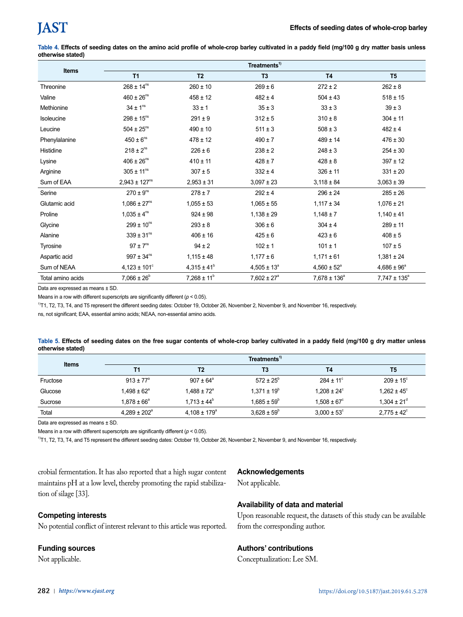**Table 4. Effects of seeding dates on the amino acid profile of whole-crop barley cultivated in a paddy field (mg/100 g dry matter basis unless otherwise stated)**

| <b>Items</b>      | Treatments <sup>1</sup>      |                        |                        |                        |                         |  |
|-------------------|------------------------------|------------------------|------------------------|------------------------|-------------------------|--|
|                   | T1<br>T <sub>2</sub>         |                        | T <sub>3</sub>         | <b>T4</b>              | T <sub>5</sub>          |  |
| Threonine         | $268 \pm 14^{ns}$            | $260 \pm 10$           | $269 \pm 6$            | $272 \pm 2$            | $262 \pm 8$             |  |
| Valine            | $460 \pm 26^{ns}$            | $458 \pm 12$           | $482 \pm 4$            | $504 \pm 43$           | $518 \pm 15$            |  |
| Methionine        | $34 \pm 1^{\text{ns}}$       | $33 \pm 1$             | $35 \pm 3$             | $33 \pm 3$             | $39 \pm 3$              |  |
| Isoleucine        | $298 \pm 15^{ns}$            | $291 \pm 9$            | $312 \pm 5$            | $310 \pm 8$            | $304 \pm 11$            |  |
| Leucine           | $504 \pm 25^{ns}$            | $490 \pm 10$           | $511 \pm 3$            | $508 \pm 3$            | $482 \pm 4$             |  |
| Phenylalanine     | $450 \pm 6^{ns}$             | $478 \pm 12$           | $490 \pm 7$            | $489 \pm 14$           | $476 \pm 30$            |  |
| Histidine         | $218 \pm 2^{ns}$             | $226 \pm 6$            | $238 \pm 2$            | $248 \pm 3$            | $254 \pm 30$            |  |
| Lysine            | $406 \pm 26^{ns}$            | $410 \pm 11$           | $428 \pm 7$            | $428 \pm 8$            | $397 \pm 12$            |  |
| Arginine          | $305 \pm 11^{ns}$            | $307 \pm 5$            | $332 \pm 4$            | $326 \pm 11$           | $331 \pm 20$            |  |
| Sum of EAA        | $2,943 \pm 127^{ns}$         | $2,953 \pm 31$         | $3,097 \pm 23$         | $3,118 \pm 84$         | $3,063 \pm 39$          |  |
| Serine            | $270 \pm 9^{ns}$             | $278 \pm 7$            | $292 \pm 4$            | $296 \pm 24$           | $285 \pm 26$            |  |
| Glutamic acid     | $1,086 \pm 27$ <sup>ns</sup> | $1,055 \pm 53$         | $1,065 \pm 55$         | $1,117 \pm 34$         | $1,076 \pm 21$          |  |
| Proline           | $1,035 \pm 4^{ns}$           | $924 \pm 98$           | $1,138 \pm 29$         | $1,148 \pm 7$          | $1,140 \pm 41$          |  |
| Glycine           | $299 \pm 10^{ns}$            | $293 \pm 8$            | $306 \pm 6$            | $304 \pm 4$            | $289 \pm 11$            |  |
| Alanine           | $339 \pm 31^{ns}$            | $406 \pm 16$           | $425 \pm 6$            | $423 \pm 6$            | $408 \pm 5$             |  |
| Tyrosine          | $97 \pm 7$ <sup>ns</sup>     | $94 \pm 2$             | $102 \pm 1$            | $101 \pm 1$            | $107 \pm 5$             |  |
| Aspartic acid     | $997 \pm 34^{ns}$            | $1,115 \pm 48$         | $1,177 \pm 6$          | $1,171 \pm 61$         | $1,381 \pm 24$          |  |
| Sum of NEAA       | $4,123 \pm 101^{\circ}$      | $4,315 \pm 41^{\circ}$ | $4,505 \pm 13^a$       | $4,560 \pm 52^{\circ}$ | $4,686 \pm 96^{\circ}$  |  |
| Total amino acids | $7,066 \pm 26^b$             | $7,268 \pm 11^b$       | $7,602 \pm 27^{\circ}$ | $7,678 \pm 136^a$      | $7,747 \pm 135^{\circ}$ |  |

Data are expressed as means ± SD.

Means in a row with different superscripts are significantly different (*p* < 0.05).

1)T1, T2, T3, T4, and T5 represent the different seeding dates: October 19, October 26, November 2, November 9, and November 16, respectively.

ns, not significant; EAA, essential amino acids; NEAA, non-essential amino acids.

| Table 5. Effects of seeding dates on the free sugar contents of whole-crop barley cultivated in a paddy field (mg/100 g dry matter unless |  |  |  |
|-------------------------------------------------------------------------------------------------------------------------------------------|--|--|--|
| otherwise stated)                                                                                                                         |  |  |  |

|              |                           |                         | Treatments <sup>1)</sup> |                        |                             |
|--------------|---------------------------|-------------------------|--------------------------|------------------------|-----------------------------|
| <b>Items</b> | Τ1                        | T2                      | T3                       | Τ4                     | T5                          |
| Fructose     | $913 + 77^{\circ}$        | $907 \pm 64^{\circ}$    | $572 \pm 25^{\circ}$     | $284 \pm 11^{\circ}$   | $209 \pm 15^{\circ}$        |
| Glucose      | $1.498\pm62^{\mathrm{a}}$ | $1.488 \pm 72^{\circ}$  | $1,371 \pm 19^b$         | $1.208 \pm 24^{\circ}$ | $1,262 \pm 45^{\circ}$      |
| Sucrose      | $1.878 \pm 66^a$          | $1.713 \pm 44^b$        | $1.685 \pm 59^{\circ}$   | $1.508 \pm 67^{\circ}$ | $1.304 \pm 21$ <sup>d</sup> |
| Total        | $4.289 \pm 202^{\circ}$   | $4.108 \pm 179^{\circ}$ | $3.628 \pm 59^{\circ}$   | $3.000 \pm 53^{\circ}$ | $2.775 \pm 42^{\circ}$      |

Data are expressed as means ± SD.

Means in a row with different superscripts are significantly different (*p* < 0.05).

1)T1, T2, T3, T4, and T5 represent the different seeding dates: October 19, October 26, November 2, November 9, and November 16, respectively.

crobial fermentation. It has also reported that a high sugar content maintains pH at a low level, thereby promoting the rapid stabilization of silage [33].

# **Acknowledgements**

Not applicable.

### **Competing interests**

No potential conflict of interest relevant to this article was reported.

#### **Funding sources**

Not applicable.

### **Availability of data and material**

Upon reasonable request, the datasets of this study can be available from the corresponding author.

### **Authors' contributions**

Conceptualization: Lee SM.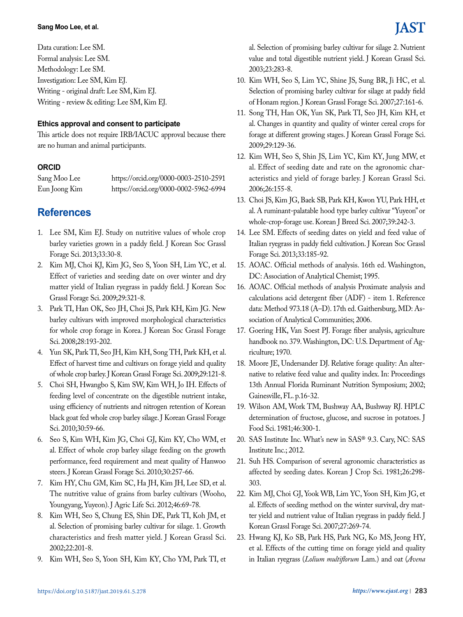Data curation: Lee SM. Formal analysis: Lee SM. Methodology: Lee SM. Investigation: Lee SM, Kim EJ. Writing - original draft: Lee SM, Kim EJ. Writing - review & editing: Lee SM, Kim EJ.

### **Ethics approval and consent to participate**

This article does not require IRB/IACUC approval because there are no human and animal participants.

## **ORCID**

Sang Moo Lee https://orcid.org/0000-0003-2510-2591 Eun Joong Kim https://orcid.org/0000-0002-5962-6994

# **References**

- 1. Lee SM, Kim EJ. Study on nutritive values of whole crop barley varieties grown in a paddy field. J Korean Soc Grassl Forage Sci. 2013;33:30-8.
- 2. Kim MJ, Choi KJ, Kim JG, Seo S, Yoon SH, Lim YC, et al. Effect of varieties and seeding date on over winter and dry matter yield of Italian ryegrass in paddy field. J Korean Soc Grassl Forage Sci. 2009;29:321-8.
- 3. Park TI, Han OK, Seo JH, Choi JS, Park KH, Kim JG. New barley cultivars with improved morphological characteristics for whole crop forage in Korea. J Korean Soc Grassl Forage Sci. 2008;28:193-202.
- 4. Yun SK, Park TI, Seo JH, Kim KH, Song TH, Park KH, et al. Effect of harvest time and cultivars on forage yield and quality of whole crop barley. J Korean Grassl Forage Sci. 2009;29:121-8.
- 5. Choi SH, Hwangbo S, Kim SW, Kim WH, Jo IH. Effects of feeding level of concentrate on the digestible nutrient intake, using efficiency of nutrients and nitrogen retention of Korean black goat fed whole crop barley silage. J Korean Grassl Forage Sci. 2010;30:59-66.
- 6. Seo S, Kim WH, Kim JG, Choi GJ, Kim KY, Cho WM, et al. Effect of whole crop barley silage feeding on the growth performance, feed requirement and meat quality of Hanwoo steers. J Korean Grassl Forage Sci. 2010;30:257-66.
- 7. Kim HY, Chu GM, Kim SC, Ha JH, Kim JH, Lee SD, et al. The nutritive value of grains from barley cultivars (Wooho, Youngyang, Yuyeon). J Agric Life Sci. 2012;46:69-78.
- 8. Kim WH, Seo S, Chung ES, Shin DE, Park TI, Koh JM, et al. Selection of promising barley cultivar for silage. 1. Growth characteristics and fresh matter yield. J Korean Grassl Sci. 2002;22:201-8.
- 9. Kim WH, Seo S, Yoon SH, Kim KY, Cho YM, Park TI, et

al. Selection of promising barley cultivar for silage 2. Nutrient value and total digestible nutrient yield. J Korean Grassl Sci. 2003;23:283-8.

- 10. Kim WH, Seo S, Lim YC, Shine JS, Sung BR, Ji HC, et al. Selection of promising barley cultivar for silage at paddy field of Honam region. J Korean Grassl Forage Sci. 2007;27:161-6.
- 11. Song TH, Han OK, Yun SK, Park TI, Seo JH, Kim KH, et al. Changes in quantity and quality of winter cereal crops for forage at different growing stages. J Korean Grassl Forage Sci. 2009;29:129-36.
- 12. Kim WH, Seo S, Shin JS, Lim YC, Kim KY, Jung MW, et al. Effect of seeding date and rate on the agronomic characteristics and yield of forage barley. J Korean Grassl Sci. 2006;26:155-8.
- 13. Choi JS, Kim JG, Baek SB, Park KH, Kwon YU, Park HH, et al. A ruminant-palatable hood type barley cultivar "Yuyeon" or whole-crop-forage use. Korean J Breed Sci. 2007;39:242-3.
- 14. Lee SM. Effects of seeding dates on yield and feed value of Italian ryegrass in paddy field cultivation. J Korean Soc Grassl Forage Sci. 2013;33:185-92.
- 15. AOAC. Official methods of analysis. 16th ed. Washington, DC: Association of Analytical Chemist; 1995.
- 16. AOAC. Official methods of analysis Proximate analysis and calculations acid detergent fiber (ADF) - item 1. Reference data: Method 973.18 (A–D). 17th ed. Gaithersburg, MD: Association of Analytical Communities; 2006.
- 17. Goering HK, Van Soest PJ. Forage fiber analysis, agriculture handbook no. 379. Washington, DC: U.S. Department of Agriculture; 1970.
- 18. Moore JE, Undersander DJ. Relative forage quality: An alternative to relative feed value and quality index. In: Proceedings 13th Annual Florida Ruminant Nutrition Symposium; 2002; Gainesville, FL. p.16-32.
- 19. Wilson AM, Work TM, Bushway AA, Bushway RJ. HPLC determination of fructose, glucose, and sucrose in potatoes. J Food Sci. 1981;46:300-1.
- 20. SAS Institute Inc. What's new in SAS® 9.3. Cary, NC: SAS Institute Inc.; 2012.
- 21. Suh HS. Comparison of several agronomic characteristics as affected by seeding dates. Korean J Crop Sci. 1981;26:298- 303.
- 22. Kim MJ, Choi GJ, Yook WB, Lim YC, Yoon SH, Kim JG, et al. Effects of seeding method on the winter survival, dry matter yield and nutrient value of Italian ryegrass in paddy field. J Korean Grassl Forage Sci. 2007;27:269-74.
- 23. Hwang KJ, Ko SB, Park HS, Park NG, Ko MS, Jeong HY, et al. Effects of the cutting time on forage yield and quality in Italian ryegrass (*Lolium multiflorum* Lam.) and oat (*Avena*